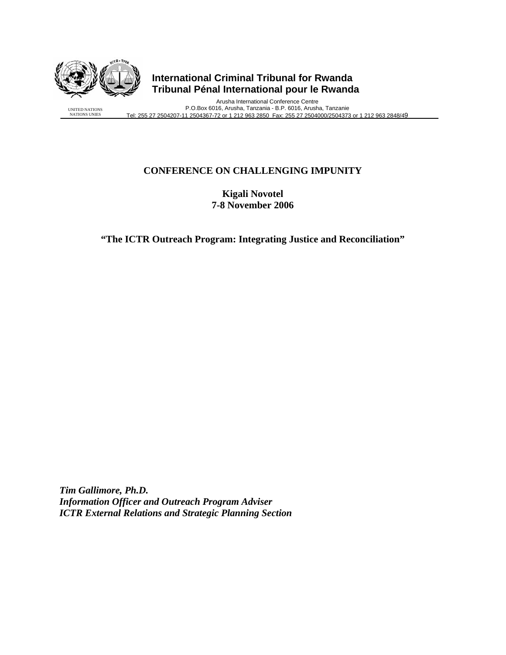

UNITED NATIONS NATIONS UNIES

# **International Criminal Tribunal for Rwanda Tribunal Pénal International pour le Rwanda**

Arusha International Conference Centre P.O.Box 6016, Arusha, Tanzania - B.P. 6016, Arusha, Tanzanie Tel: 255 27 2504207-11 2504367-72 or 1 212 963 2850 Fax: 255 27 2504000/2504373 or 1 212 963 2848/49

## **CONFERENCE ON CHALLENGING IMPUNITY**

**Kigali Novotel 7-8 November 2006** 

**"The ICTR Outreach Program: Integrating Justice and Reconciliation"** 

*Tim Gallimore, Ph.D. Information Officer and Outreach Program Adviser ICTR External Relations and Strategic Planning Section*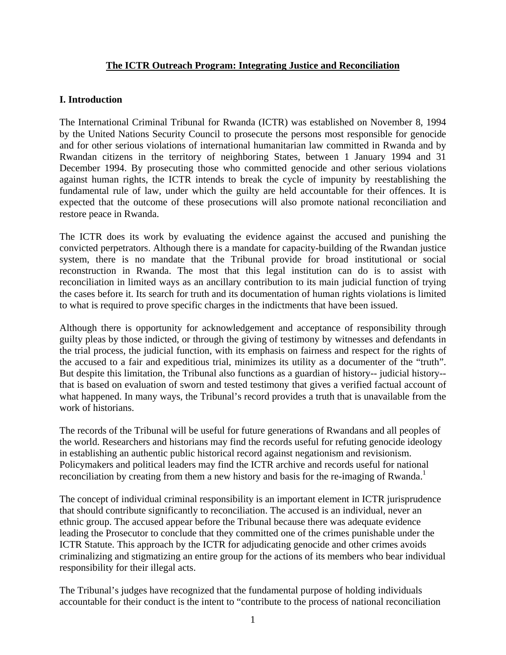### **The ICTR Outreach Program: Integrating Justice and Reconciliation**

#### **I. Introduction**

The International Criminal Tribunal for Rwanda (ICTR) was established on November 8, 1994 by the United Nations Security Council to prosecute the persons most responsible for genocide and for other serious violations of international humanitarian law committed in Rwanda and by Rwandan citizens in the territory of neighboring States, between 1 January 1994 and 31 December 1994. By prosecuting those who committed genocide and other serious violations against human rights, the ICTR intends to break the cycle of impunity by reestablishing the fundamental rule of law, under which the guilty are held accountable for their offences. It is expected that the outcome of these prosecutions will also promote national reconciliation and restore peace in Rwanda.

The ICTR does its work by evaluating the evidence against the accused and punishing the convicted perpetrators. Although there is a mandate for capacity-building of the Rwandan justice system, there is no mandate that the Tribunal provide for broad institutional or social reconstruction in Rwanda. The most that this legal institution can do is to assist with reconciliation in limited ways as an ancillary contribution to its main judicial function of trying the cases before it. Its search for truth and its documentation of human rights violations is limited to what is required to prove specific charges in the indictments that have been issued.

Although there is opportunity for acknowledgement and acceptance of responsibility through guilty pleas by those indicted, or through the giving of testimony by witnesses and defendants in the trial process, the judicial function, with its emphasis on fairness and respect for the rights of the accused to a fair and expeditious trial, minimizes its utility as a documenter of the "truth". But despite this limitation, the Tribunal also functions as a guardian of history-- judicial history- that is based on evaluation of sworn and tested testimony that gives a verified factual account of what happened. In many ways, the Tribunal's record provides a truth that is unavailable from the work of historians.

The records of the Tribunal will be useful for future generations of Rwandans and all peoples of the world. Researchers and historians may find the records useful for refuting genocide ideology in establishing an authentic public historical record against negationism and revisionism. Policymakers and political leaders may find the ICTR archive and records useful for national reconciliation by creating from them a new history and basis for the re-imaging of Rwanda.<sup>1</sup>

The concept of individual criminal responsibility is an important element in ICTR jurisprudence that should contribute significantly to reconciliation. The accused is an individual, never an ethnic group. The accused appear before the Tribunal because there was adequate evidence leading the Prosecutor to conclude that they committed one of the crimes punishable under the ICTR Statute. This approach by the ICTR for adjudicating genocide and other crimes avoids criminalizing and stigmatizing an entire group for the actions of its members who bear individual responsibility for their illegal acts.

The Tribunal's judges have recognized that the fundamental purpose of holding individuals accountable for their conduct is the intent to "contribute to the process of national reconciliation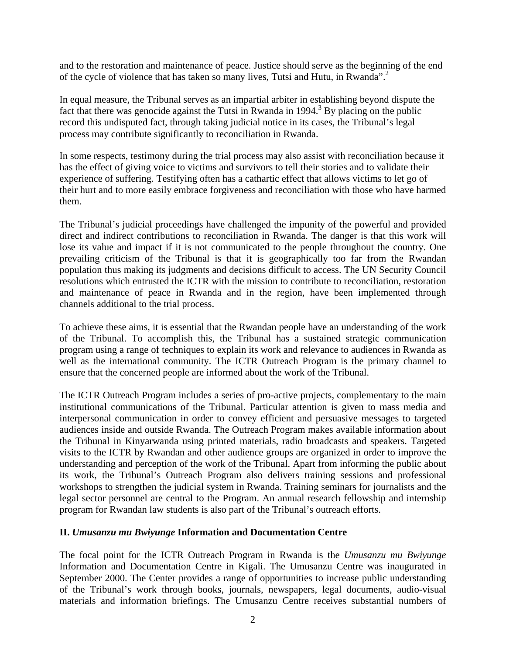and to the restoration and maintenance of peace. Justice should serve as the beginning of the end of the cycle of violence that has taken so many lives, Tutsi and Hutu, in Rwanda".2

In equal measure, the Tribunal serves as an impartial arbiter in establishing beyond dispute the fact that there was genocide against the Tutsi in Rwanda in 1994.<sup>3</sup> By placing on the public record this undisputed fact, through taking judicial notice in its cases, the Tribunal's legal process may contribute significantly to reconciliation in Rwanda.

In some respects, testimony during the trial process may also assist with reconciliation because it has the effect of giving voice to victims and survivors to tell their stories and to validate their experience of suffering. Testifying often has a cathartic effect that allows victims to let go of their hurt and to more easily embrace forgiveness and reconciliation with those who have harmed them.

The Tribunal's judicial proceedings have challenged the impunity of the powerful and provided direct and indirect contributions to reconciliation in Rwanda. The danger is that this work will lose its value and impact if it is not communicated to the people throughout the country. One prevailing criticism of the Tribunal is that it is geographically too far from the Rwandan population thus making its judgments and decisions difficult to access. The UN Security Council resolutions which entrusted the ICTR with the mission to contribute to reconciliation, restoration and maintenance of peace in Rwanda and in the region, have been implemented through channels additional to the trial process.

To achieve these aims, it is essential that the Rwandan people have an understanding of the work of the Tribunal. To accomplish this, the Tribunal has a sustained strategic communication program using a range of techniques to explain its work and relevance to audiences in Rwanda as well as the international community. The ICTR Outreach Program is the primary channel to ensure that the concerned people are informed about the work of the Tribunal.

The ICTR Outreach Program includes a series of pro-active projects, complementary to the main institutional communications of the Tribunal. Particular attention is given to mass media and interpersonal communication in order to convey efficient and persuasive messages to targeted audiences inside and outside Rwanda. The Outreach Program makes available information about the Tribunal in Kinyarwanda using printed materials, radio broadcasts and speakers. Targeted visits to the ICTR by Rwandan and other audience groups are organized in order to improve the understanding and perception of the work of the Tribunal. Apart from informing the public about its work, the Tribunal's Outreach Program also delivers training sessions and professional workshops to strengthen the judicial system in Rwanda. Training seminars for journalists and the legal sector personnel are central to the Program. An annual research fellowship and internship program for Rwandan law students is also part of the Tribunal's outreach efforts.

### **II.** *Umusanzu mu Bwiyunge* **Information and Documentation Centre**

The focal point for the ICTR Outreach Program in Rwanda is the *Umusanzu mu Bwiyunge* Information and Documentation Centre in Kigali. The Umusanzu Centre was inaugurated in September 2000. The Center provides a range of opportunities to increase public understanding of the Tribunal's work through books, journals, newspapers, legal documents, audio-visual materials and information briefings. The Umusanzu Centre receives substantial numbers of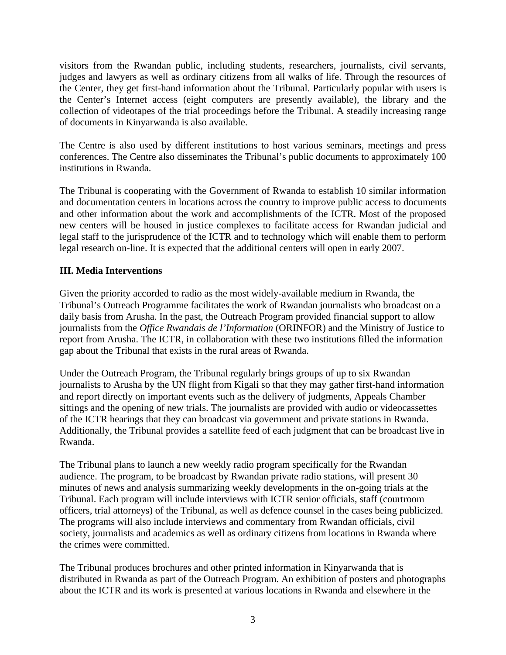visitors from the Rwandan public, including students, researchers, journalists, civil servants, judges and lawyers as well as ordinary citizens from all walks of life. Through the resources of the Center, they get first-hand information about the Tribunal. Particularly popular with users is the Center's Internet access (eight computers are presently available), the library and the collection of videotapes of the trial proceedings before the Tribunal. A steadily increasing range of documents in Kinyarwanda is also available.

The Centre is also used by different institutions to host various seminars, meetings and press conferences. The Centre also disseminates the Tribunal's public documents to approximately 100 institutions in Rwanda.

The Tribunal is cooperating with the Government of Rwanda to establish 10 similar information and documentation centers in locations across the country to improve public access to documents and other information about the work and accomplishments of the ICTR. Most of the proposed new centers will be housed in justice complexes to facilitate access for Rwandan judicial and legal staff to the jurisprudence of the ICTR and to technology which will enable them to perform legal research on-line. It is expected that the additional centers will open in early 2007.

## **III. Media Interventions**

Given the priority accorded to radio as the most widely-available medium in Rwanda, the Tribunal's Outreach Programme facilitates the work of Rwandan journalists who broadcast on a daily basis from Arusha. In the past, the Outreach Program provided financial support to allow journalists from the *Office Rwandais de l'Information* (ORINFOR) and the Ministry of Justice to report from Arusha. The ICTR, in collaboration with these two institutions filled the information gap about the Tribunal that exists in the rural areas of Rwanda.

Under the Outreach Program, the Tribunal regularly brings groups of up to six Rwandan journalists to Arusha by the UN flight from Kigali so that they may gather first-hand information and report directly on important events such as the delivery of judgments, Appeals Chamber sittings and the opening of new trials. The journalists are provided with audio or videocassettes of the ICTR hearings that they can broadcast via government and private stations in Rwanda. Additionally, the Tribunal provides a satellite feed of each judgment that can be broadcast live in Rwanda.

The Tribunal plans to launch a new weekly radio program specifically for the Rwandan audience. The program, to be broadcast by Rwandan private radio stations, will present 30 minutes of news and analysis summarizing weekly developments in the on-going trials at the Tribunal. Each program will include interviews with ICTR senior officials, staff (courtroom officers, trial attorneys) of the Tribunal, as well as defence counsel in the cases being publicized. The programs will also include interviews and commentary from Rwandan officials, civil society, journalists and academics as well as ordinary citizens from locations in Rwanda where the crimes were committed.

The Tribunal produces brochures and other printed information in Kinyarwanda that is distributed in Rwanda as part of the Outreach Program. An exhibition of posters and photographs about the ICTR and its work is presented at various locations in Rwanda and elsewhere in the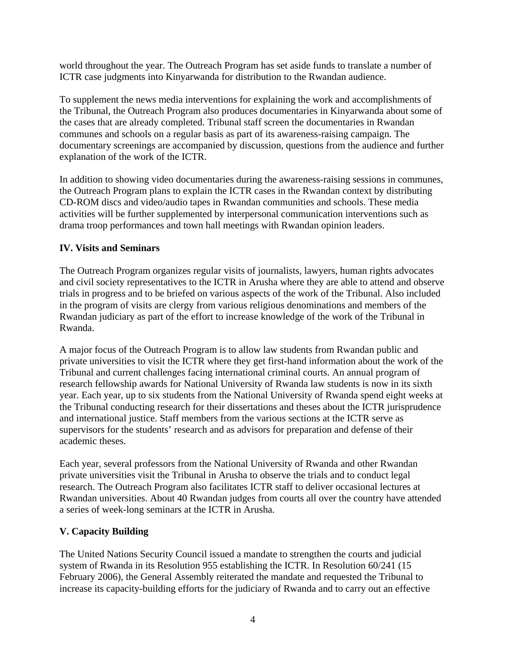world throughout the year. The Outreach Program has set aside funds to translate a number of ICTR case judgments into Kinyarwanda for distribution to the Rwandan audience.

To supplement the news media interventions for explaining the work and accomplishments of the Tribunal, the Outreach Program also produces documentaries in Kinyarwanda about some of the cases that are already completed. Tribunal staff screen the documentaries in Rwandan communes and schools on a regular basis as part of its awareness-raising campaign. The documentary screenings are accompanied by discussion, questions from the audience and further explanation of the work of the ICTR.

In addition to showing video documentaries during the awareness-raising sessions in communes, the Outreach Program plans to explain the ICTR cases in the Rwandan context by distributing CD-ROM discs and video/audio tapes in Rwandan communities and schools. These media activities will be further supplemented by interpersonal communication interventions such as drama troop performances and town hall meetings with Rwandan opinion leaders.

### **IV. Visits and Seminars**

The Outreach Program organizes regular visits of journalists, lawyers, human rights advocates and civil society representatives to the ICTR in Arusha where they are able to attend and observe trials in progress and to be briefed on various aspects of the work of the Tribunal. Also included in the program of visits are clergy from various religious denominations and members of the Rwandan judiciary as part of the effort to increase knowledge of the work of the Tribunal in Rwanda.

A major focus of the Outreach Program is to allow law students from Rwandan public and private universities to visit the ICTR where they get first-hand information about the work of the Tribunal and current challenges facing international criminal courts. An annual program of research fellowship awards for National University of Rwanda law students is now in its sixth year. Each year, up to six students from the National University of Rwanda spend eight weeks at the Tribunal conducting research for their dissertations and theses about the ICTR jurisprudence and international justice. Staff members from the various sections at the ICTR serve as supervisors for the students' research and as advisors for preparation and defense of their academic theses.

Each year, several professors from the National University of Rwanda and other Rwandan private universities visit the Tribunal in Arusha to observe the trials and to conduct legal research. The Outreach Program also facilitates ICTR staff to deliver occasional lectures at Rwandan universities. About 40 Rwandan judges from courts all over the country have attended a series of week-long seminars at the ICTR in Arusha.

# **V. Capacity Building**

The United Nations Security Council issued a mandate to strengthen the courts and judicial system of Rwanda in its Resolution 955 establishing the ICTR. In Resolution 60/241 (15 February 2006), the General Assembly reiterated the mandate and requested the Tribunal to increase its capacity-building efforts for the judiciary of Rwanda and to carry out an effective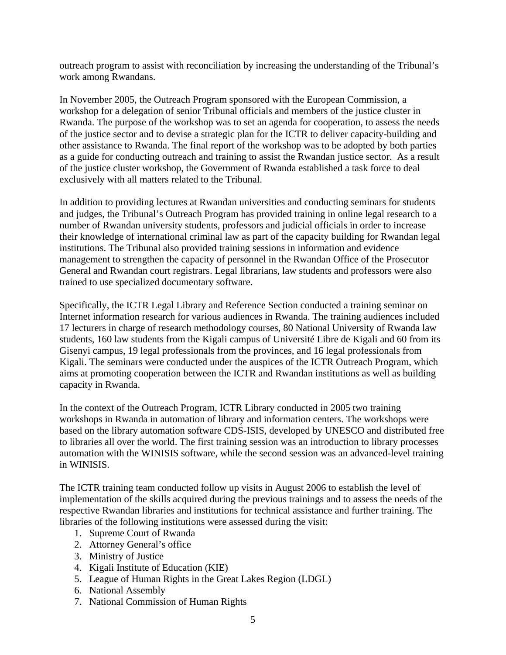outreach program to assist with reconciliation by increasing the understanding of the Tribunal's work among Rwandans.

In November 2005, the Outreach Program sponsored with the European Commission, a workshop for a delegation of senior Tribunal officials and members of the justice cluster in Rwanda. The purpose of the workshop was to set an agenda for cooperation, to assess the needs of the justice sector and to devise a strategic plan for the ICTR to deliver capacity-building and other assistance to Rwanda. The final report of the workshop was to be adopted by both parties as a guide for conducting outreach and training to assist the Rwandan justice sector. As a result of the justice cluster workshop, the Government of Rwanda established a task force to deal exclusively with all matters related to the Tribunal.

In addition to providing lectures at Rwandan universities and conducting seminars for students and judges, the Tribunal's Outreach Program has provided training in online legal research to a number of Rwandan university students, professors and judicial officials in order to increase their knowledge of international criminal law as part of the capacity building for Rwandan legal institutions. The Tribunal also provided training sessions in information and evidence management to strengthen the capacity of personnel in the Rwandan Office of the Prosecutor General and Rwandan court registrars. Legal librarians, law students and professors were also trained to use specialized documentary software.

Specifically, the ICTR Legal Library and Reference Section conducted a training seminar on Internet information research for various audiences in Rwanda. The training audiences included 17 lecturers in charge of research methodology courses, 80 National University of Rwanda law students, 160 law students from the Kigali campus of Université Libre de Kigali and 60 from its Gisenyi campus, 19 legal professionals from the provinces, and 16 legal professionals from Kigali. The seminars were conducted under the auspices of the ICTR Outreach Program, which aims at promoting cooperation between the ICTR and Rwandan institutions as well as building capacity in Rwanda.

In the context of the Outreach Program, ICTR Library conducted in 2005 two training workshops in Rwanda in automation of library and information centers. The workshops were based on the library automation software CDS-ISIS, developed by UNESCO and distributed free to libraries all over the world. The first training session was an introduction to library processes automation with the WINISIS software, while the second session was an advanced-level training in WINISIS.

The ICTR training team conducted follow up visits in August 2006 to establish the level of implementation of the skills acquired during the previous trainings and to assess the needs of the respective Rwandan libraries and institutions for technical assistance and further training. The libraries of the following institutions were assessed during the visit:

- 1. Supreme Court of Rwanda
- 2. Attorney General's office
- 3. Ministry of Justice
- 4. Kigali Institute of Education (KIE)
- 5. League of Human Rights in the Great Lakes Region (LDGL)
- 6. National Assembly
- 7. National Commission of Human Rights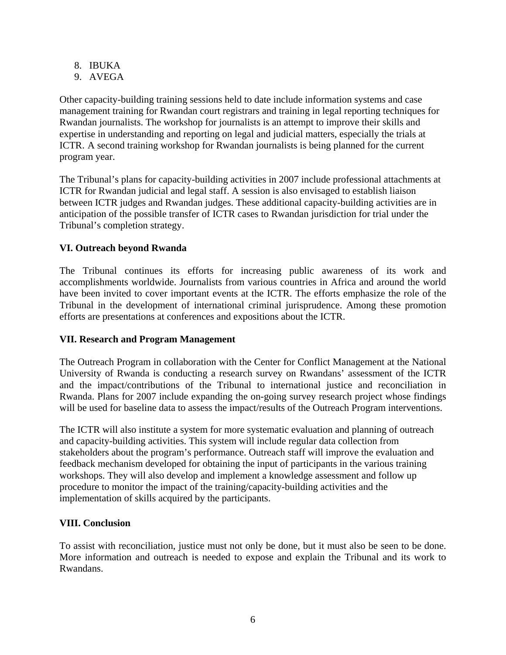- 8. IBUKA
- 9. AVEGA

Other capacity-building training sessions held to date include information systems and case management training for Rwandan court registrars and training in legal reporting techniques for Rwandan journalists. The workshop for journalists is an attempt to improve their skills and expertise in understanding and reporting on legal and judicial matters, especially the trials at ICTR. A second training workshop for Rwandan journalists is being planned for the current program year.

The Tribunal's plans for capacity-building activities in 2007 include professional attachments at ICTR for Rwandan judicial and legal staff. A session is also envisaged to establish liaison between ICTR judges and Rwandan judges. These additional capacity-building activities are in anticipation of the possible transfer of ICTR cases to Rwandan jurisdiction for trial under the Tribunal's completion strategy.

## **VI. Outreach beyond Rwanda**

The Tribunal continues its efforts for increasing public awareness of its work and accomplishments worldwide. Journalists from various countries in Africa and around the world have been invited to cover important events at the ICTR. The efforts emphasize the role of the Tribunal in the development of international criminal jurisprudence. Among these promotion efforts are presentations at conferences and expositions about the ICTR.

### **VII. Research and Program Management**

The Outreach Program in collaboration with the Center for Conflict Management at the National University of Rwanda is conducting a research survey on Rwandans' assessment of the ICTR and the impact/contributions of the Tribunal to international justice and reconciliation in Rwanda. Plans for 2007 include expanding the on-going survey research project whose findings will be used for baseline data to assess the impact/results of the Outreach Program interventions.

The ICTR will also institute a system for more systematic evaluation and planning of outreach and capacity-building activities. This system will include regular data collection from stakeholders about the program's performance. Outreach staff will improve the evaluation and feedback mechanism developed for obtaining the input of participants in the various training workshops. They will also develop and implement a knowledge assessment and follow up procedure to monitor the impact of the training/capacity-building activities and the implementation of skills acquired by the participants.

### **VIII. Conclusion**

To assist with reconciliation, justice must not only be done, but it must also be seen to be done. More information and outreach is needed to expose and explain the Tribunal and its work to Rwandans.